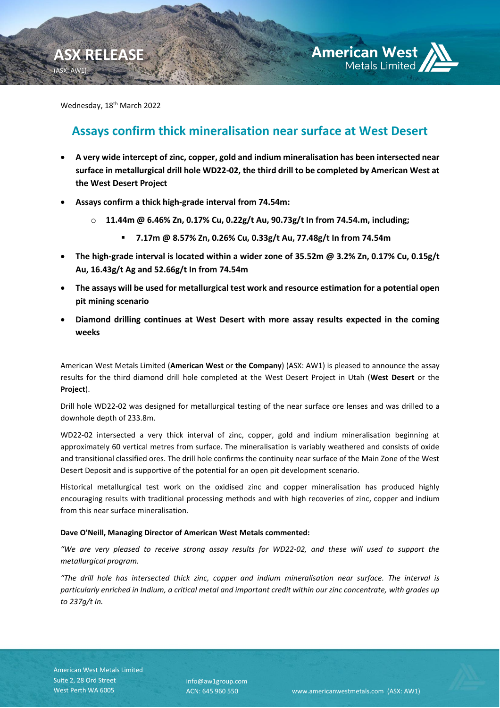

Wednesday, 18<sup>th</sup> March 2022

**ASX RELEASE**

(ASX: AW1)

# **Assays confirm thick mineralisation near surface at West Desert**

- **A very wide intercept of zinc, copper, gold and indium mineralisation has been intersected near surface in metallurgical drill hole WD22-02, the third drill to be completed by American West at the West Desert Project**
- **Assays confirm a thick high-grade interval from 74.54m:**
	- o **11.44m @ 6.46% Zn, 0.17% Cu, 0.22g/t Au, 90.73g/t In from 74.54.m, including;**
		- **7.17m @ 8.57% Zn, 0.26% Cu, 0.33g/t Au, 77.48g/t In from 74.54m**
- **The high-grade interval is located within a wider zone of 35.52m @ 3.2% Zn, 0.17% Cu, 0.15g/t Au, 16.43g/t Ag and 52.66g/t In from 74.54m**
- **The assays will be used for metallurgical test work and resource estimation for a potential open pit mining scenario**
- **Diamond drilling continues at West Desert with more assay results expected in the coming weeks**

American West Metals Limited (**American West** or **the Company**) (ASX: AW1) is pleased to announce the assay results for the third diamond drill hole completed at the West Desert Project in Utah (**West Desert** or the **Project**).

Drill hole WD22-02 was designed for metallurgical testing of the near surface ore lenses and was drilled to a downhole depth of 233.8m.

WD22-02 intersected a very thick interval of zinc, copper, gold and indium mineralisation beginning at approximately 60 vertical metres from surface. The mineralisation is variably weathered and consists of oxide and transitional classified ores. The drill hole confirms the continuity near surface of the Main Zone of the West Desert Deposit and is supportive of the potential for an open pit development scenario.

Historical metallurgical test work on the oxidised zinc and copper mineralisation has produced highly encouraging results with traditional processing methods and with high recoveries of zinc, copper and indium from this near surface mineralisation.

# **Dave O'Neill, Managing Director of American West Metals commented:**

*"We are very pleased to receive strong assay results for WD22-02, and these will used to support the metallurgical program.*

*"The drill hole has intersected thick zinc, copper and indium mineralisation near surface. The interval is particularly enriched in Indium, a critical metal and important credit within our zinc concentrate, with grades up to 237g/t In.*

info@aw1group.com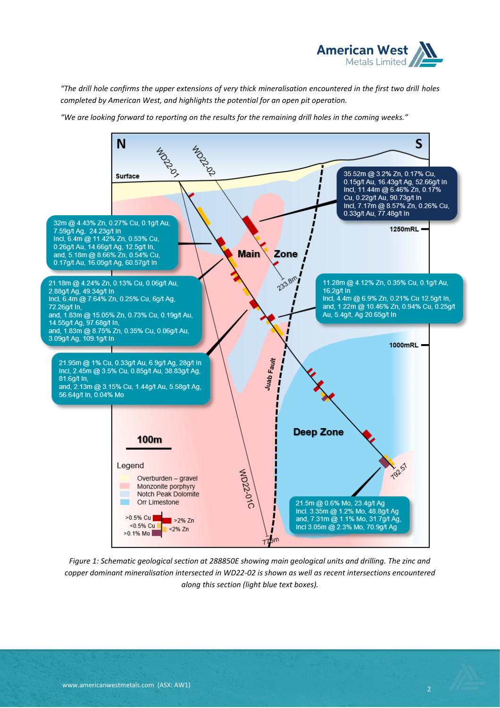

*"The drill hole confirms the upper extensions of very thick mineralisation encountered in the first two drill holes completed by American West, and highlights the potential for an open pit operation.* 

*"We are looking forward to reporting on the results for the remaining drill holes in the coming weeks."*



*Figure 1: Schematic geological section at 288850E showing main geological units and drilling. The zinc and copper dominant mineralisation intersected in WD22-02 is shown as well as recent intersections encountered along this section (light blue text boxes).*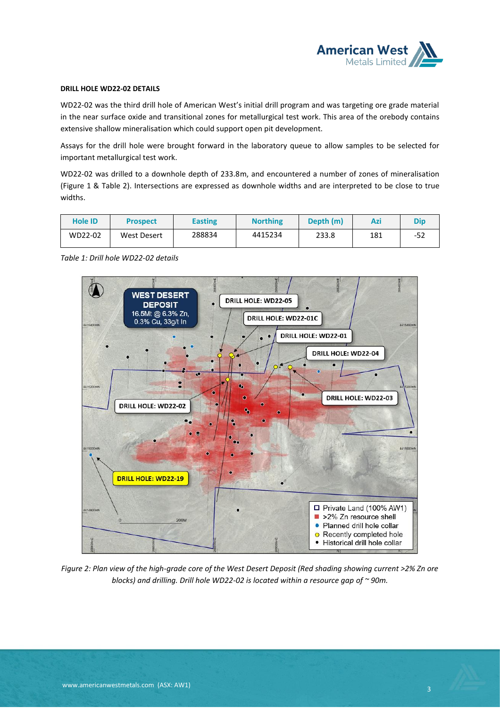

## **DRILL HOLE WD22-02 DETAILS**

WD22-02 was the third drill hole of American West's initial drill program and was targeting ore grade material in the near surface oxide and transitional zones for metallurgical test work. This area of the orebody contains extensive shallow mineralisation which could support open pit development.

Assays for the drill hole were brought forward in the laboratory queue to allow samples to be selected for important metallurgical test work.

WD22-02 was drilled to a downhole depth of 233.8m, and encountered a number of zones of mineralisation (Figure 1 & Table 2). Intersections are expressed as downhole widths and are interpreted to be close to true widths.

| Hole ID | <b>Prospect</b> | <b>Easting</b> | <b>Northing</b> | Depth (m) | Azi | <b>Dip</b> |
|---------|-----------------|----------------|-----------------|-----------|-----|------------|
| WD22-02 | West Desert     | 288834         | 4415234         | 233.8     | 181 | -52        |

*Table 1: Drill hole WD22-02 details*



*Figure 2: Plan view of the high-grade core of the West Desert Deposit (Red shading showing current >2% Zn ore blocks) and drilling. Drill hole WD22-02 is located within a resource gap of ~ 90m.*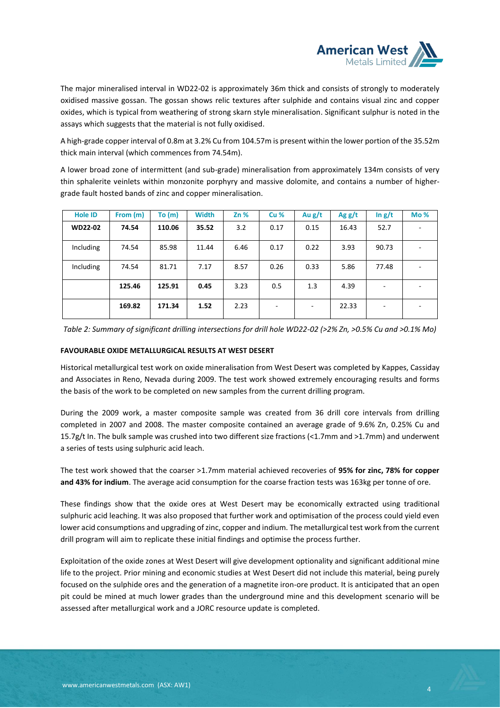

The major mineralised interval in WD22-02 is approximately 36m thick and consists of strongly to moderately oxidised massive gossan. The gossan shows relic textures after sulphide and contains visual zinc and copper oxides, which is typical from weathering of strong skarn style mineralisation. Significant sulphur is noted in the assays which suggests that the material is not fully oxidised.

A high-grade copper interval of 0.8m at 3.2% Cu from 104.57m is present within the lower portion of the 35.52m thick main interval (which commences from 74.54m).

A lower broad zone of intermittent (and sub-grade) mineralisation from approximately 134m consists of very thin sphalerite veinlets within monzonite porphyry and massive dolomite, and contains a number of highergrade fault hosted bands of zinc and copper mineralisation.

| <b>Hole ID</b> | From (m) | To $(m)$ | <b>Width</b> | $Zn\%$ | <b>Cu %</b>              | Au $g/t$ | Agg/t | $\ln g/t$ | Mo% |
|----------------|----------|----------|--------------|--------|--------------------------|----------|-------|-----------|-----|
| <b>WD22-02</b> | 74.54    | 110.06   | 35.52        | 3.2    | 0.17                     | 0.15     | 16.43 | 52.7      |     |
| Including      | 74.54    | 85.98    | 11.44        | 6.46   | 0.17                     | 0.22     | 3.93  | 90.73     |     |
| Including      | 74.54    | 81.71    | 7.17         | 8.57   | 0.26                     | 0.33     | 5.86  | 77.48     |     |
|                | 125.46   | 125.91   | 0.45         | 3.23   | 0.5                      | 1.3      | 4.39  |           |     |
|                | 169.82   | 171.34   | 1.52         | 2.23   | $\overline{\phantom{0}}$ |          | 22.33 | ۰         |     |

*Table 2: Summary of significant drilling intersections for drill hole WD22-02 (>2% Zn, >0.5% Cu and >0.1% Mo)*

#### **FAVOURABLE OXIDE METALLURGICAL RESULTS AT WEST DESERT**

Historical metallurgical test work on oxide mineralisation from West Desert was completed by Kappes, Cassiday and Associates in Reno, Nevada during 2009. The test work showed extremely encouraging results and forms the basis of the work to be completed on new samples from the current drilling program.

During the 2009 work, a master composite sample was created from 36 drill core intervals from drilling completed in 2007 and 2008. The master composite contained an average grade of 9.6% Zn, 0.25% Cu and 15.7g/t In. The bulk sample was crushed into two different size fractions (<1.7mm and >1.7mm) and underwent a series of tests using sulphuric acid leach.

The test work showed that the coarser >1.7mm material achieved recoveries of **95% for zinc, 78% for copper and 43% for indium**. The average acid consumption for the coarse fraction tests was 163kg per tonne of ore.

These findings show that the oxide ores at West Desert may be economically extracted using traditional sulphuric acid leaching. It was also proposed that further work and optimisation of the process could yield even lower acid consumptions and upgrading of zinc, copper and indium. The metallurgical test work from the current drill program will aim to replicate these initial findings and optimise the process further.

Exploitation of the oxide zones at West Desert will give development optionality and significant additional mine life to the project. Prior mining and economic studies at West Desert did not include this material, being purely focused on the sulphide ores and the generation of a magnetite iron-ore product. It is anticipated that an open pit could be mined at much lower grades than the underground mine and this development scenario will be assessed after metallurgical work and a JORC resource update is completed.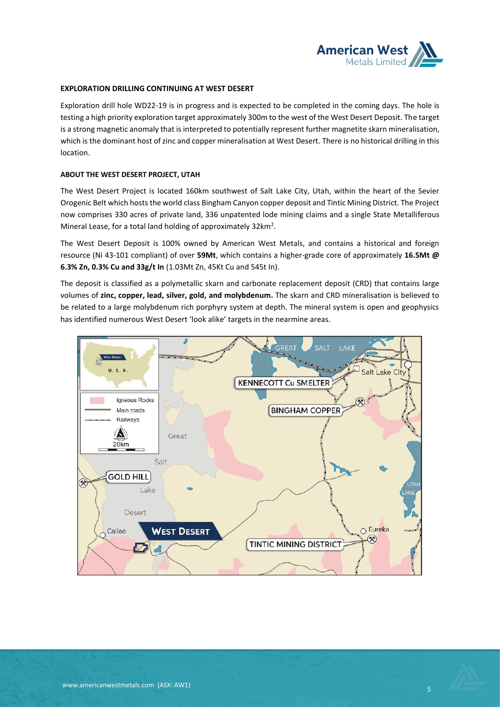

#### **EXPLORATION DRILLING CONTINUING AT WEST DESERT**

Exploration drill hole WD22-19 is in progress and is expected to be completed in the coming days. The hole is testing a high priority exploration target approximately 300m to the west of the West Desert Deposit. The target is a strong magnetic anomaly that is interpreted to potentially represent further magnetite skarn mineralisation, which is the dominant host of zinc and copper mineralisation at West Desert. There is no historical drilling in this location.

#### **ABOUT THE WEST DESERT PROJECT, UTAH**

The West Desert Project is located 160km southwest of Salt Lake City, Utah, within the heart of the Sevier Orogenic Belt which hosts the world class Bingham Canyon copper deposit and Tintic Mining District. The Project now comprises 330 acres of private land, 336 unpatented lode mining claims and a single State Metalliferous Mineral Lease, for a total land holding of approximately 32km<sup>2</sup>.

The West Desert Deposit is 100% owned by American West Metals, and contains a historical and foreign resource (Ni 43-101 compliant) of over **59Mt**, which contains a higher-grade core of approximately **16.5Mt @ 6.3% Zn, 0.3% Cu and 33g/t In** (1.03Mt Zn, 45Kt Cu and 545t In).

The deposit is classified as a polymetallic skarn and carbonate replacement deposit (CRD) that contains large volumes of **zinc, copper, lead, silver, gold, and molybdenum.** The skarn and CRD mineralisation is believed to be related to a large molybdenum rich porphyry system at depth. The mineral system is open and geophysics has identified numerous West Desert 'look alike' targets in the nearmine areas.

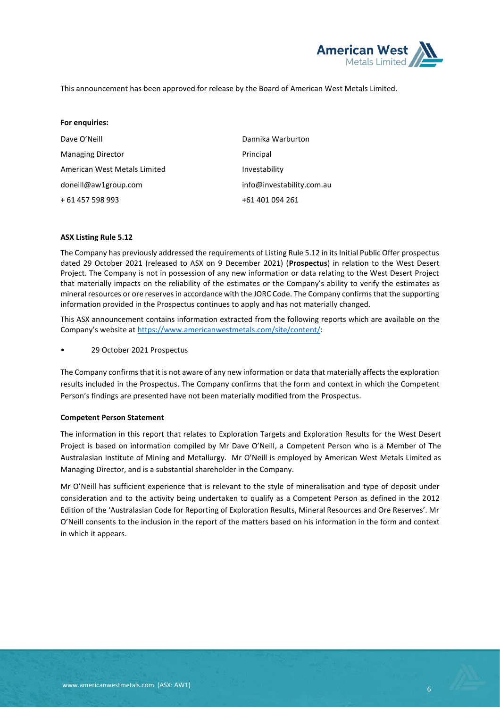

This announcement has been approved for release by the Board of American West Metals Limited.

| For enquiries:               |                           |
|------------------------------|---------------------------|
| Dave O'Neill                 | Dannika Warburton         |
| <b>Managing Director</b>     | Principal                 |
| American West Metals Limited | Investability             |
| doneill@aw1group.com         | info@investability.com.au |
| + 61 457 598 993             | +61 401 094 261           |

### **ASX Listing Rule 5.12**

The Company has previously addressed the requirements of Listing Rule 5.12 in its Initial Public Offer prospectus dated 29 October 2021 (released to ASX on 9 December 2021) (**Prospectus**) in relation to the West Desert Project. The Company is not in possession of any new information or data relating to the West Desert Project that materially impacts on the reliability of the estimates or the Company's ability to verify the estimates as mineral resources or ore reserves in accordance with the JORC Code. The Company confirms that the supporting information provided in the Prospectus continues to apply and has not materially changed.

This ASX announcement contains information extracted from the following reports which are available on the Company's website at [https://www.americanwestmetals.com/site/content/:](https://www.americanwestmetals.com/site/content/)

• 29 October 2021 Prospectus

The Company confirms that it is not aware of any new information or data that materially affects the exploration results included in the Prospectus. The Company confirms that the form and context in which the Competent Person's findings are presented have not been materially modified from the Prospectus.

#### **Competent Person Statement**

The information in this report that relates to Exploration Targets and Exploration Results for the West Desert Project is based on information compiled by Mr Dave O'Neill, a Competent Person who is a Member of The Australasian Institute of Mining and Metallurgy. Mr O'Neill is employed by American West Metals Limited as Managing Director, and is a substantial shareholder in the Company.

Mr O'Neill has sufficient experience that is relevant to the style of mineralisation and type of deposit under consideration and to the activity being undertaken to qualify as a Competent Person as defined in the 2012 Edition of the 'Australasian Code for Reporting of Exploration Results, Mineral Resources and Ore Reserves'. Mr O'Neill consents to the inclusion in the report of the matters based on his information in the form and context in which it appears.